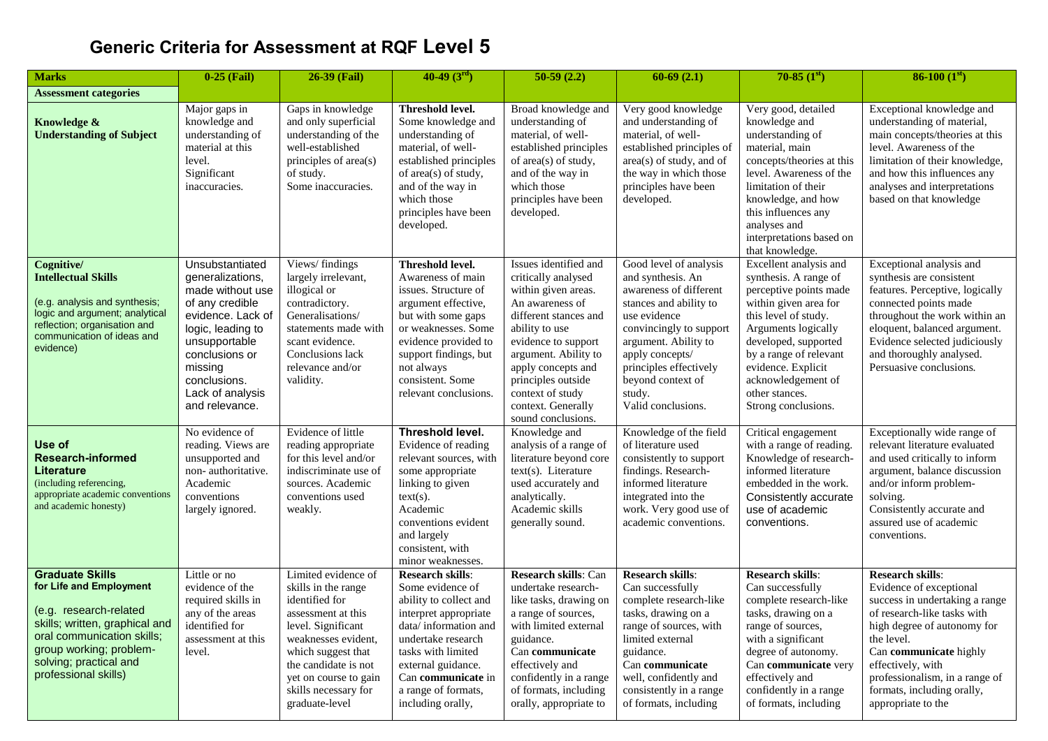## **Generic Criteria for Assessment at RQF Level 5**

| <b>Marks</b>                                                                                                                                                                                                             | $0-25$ (Fail)                                                                                                                                                                                                            | 26-39 (Fail)                                                                                                                                                                                                                                     | $40-49(3^{rd})$                                                                                                                                                                                                                                            | $50-59(2.2)$                                                                                                                                                                                                                                                                                 | $60-69(2.1)$                                                                                                                                                                                                                                                         | 70-85 $(1st)$                                                                                                                                                                                                                                                                            | 86-100 $(1st)$                                                                                                                                                                                                                                                                                        |
|--------------------------------------------------------------------------------------------------------------------------------------------------------------------------------------------------------------------------|--------------------------------------------------------------------------------------------------------------------------------------------------------------------------------------------------------------------------|--------------------------------------------------------------------------------------------------------------------------------------------------------------------------------------------------------------------------------------------------|------------------------------------------------------------------------------------------------------------------------------------------------------------------------------------------------------------------------------------------------------------|----------------------------------------------------------------------------------------------------------------------------------------------------------------------------------------------------------------------------------------------------------------------------------------------|----------------------------------------------------------------------------------------------------------------------------------------------------------------------------------------------------------------------------------------------------------------------|------------------------------------------------------------------------------------------------------------------------------------------------------------------------------------------------------------------------------------------------------------------------------------------|-------------------------------------------------------------------------------------------------------------------------------------------------------------------------------------------------------------------------------------------------------------------------------------------------------|
| <b>Assessment categories</b>                                                                                                                                                                                             |                                                                                                                                                                                                                          |                                                                                                                                                                                                                                                  |                                                                                                                                                                                                                                                            |                                                                                                                                                                                                                                                                                              |                                                                                                                                                                                                                                                                      |                                                                                                                                                                                                                                                                                          |                                                                                                                                                                                                                                                                                                       |
| Knowledge &<br><b>Understanding of Subject</b>                                                                                                                                                                           | Major gaps in<br>knowledge and<br>understanding of<br>material at this<br>level.<br>Significant<br>inaccuracies.                                                                                                         | Gaps in knowledge<br>and only superficial<br>understanding of the<br>well-established<br>principles of area(s)<br>of study.<br>Some inaccuracies.                                                                                                | Threshold level.<br>Some knowledge and<br>understanding of<br>material, of well-<br>established principles<br>of area(s) of study,<br>and of the way in<br>which those<br>principles have been<br>developed.                                               | Broad knowledge and<br>understanding of<br>material, of well-<br>established principles<br>of area(s) of study,<br>and of the way in<br>which those<br>principles have been<br>developed.                                                                                                    | Very good knowledge<br>and understanding of<br>material, of well-<br>established principles of<br>area(s) of study, and of<br>the way in which those<br>principles have been<br>developed.                                                                           | Very good, detailed<br>knowledge and<br>understanding of<br>material, main<br>concepts/theories at this<br>level. Awareness of the<br>limitation of their<br>knowledge, and how<br>this influences any<br>analyses and<br>interpretations based on<br>that knowledge.                    | Exceptional knowledge and<br>understanding of material,<br>main concepts/theories at this<br>level. Awareness of the<br>limitation of their knowledge,<br>and how this influences any<br>analyses and interpretations<br>based on that knowledge                                                      |
| Cognitive/<br><b>Intellectual Skills</b><br>(e.g. analysis and synthesis;<br>logic and argument; analytical<br>reflection; organisation and<br>communication of ideas and<br>evidence)                                   | Unsubstantiated<br>generalizations,<br>made without use<br>of any credible<br>evidence. Lack of<br>logic, leading to<br>unsupportable<br>conclusions or<br>missing<br>conclusions.<br>Lack of analysis<br>and relevance. | Views/findings<br>largely irrelevant,<br>illogical or<br>contradictory.<br>Generalisations/<br>statements made with<br>scant evidence.<br>Conclusions lack<br>relevance and/or<br>validity.                                                      | Threshold level.<br>Awareness of main<br>issues. Structure of<br>argument effective,<br>but with some gaps<br>or weaknesses. Some<br>evidence provided to<br>support findings, but<br>not always<br>consistent. Some<br>relevant conclusions.              | Issues identified and<br>critically analysed<br>within given areas.<br>An awareness of<br>different stances and<br>ability to use<br>evidence to support<br>argument. Ability to<br>apply concepts and<br>principles outside<br>context of study<br>context. Generally<br>sound conclusions. | Good level of analysis<br>and synthesis. An<br>awareness of different<br>stances and ability to<br>use evidence<br>convincingly to support<br>argument. Ability to<br>apply concepts/<br>principles effectively<br>beyond context of<br>study.<br>Valid conclusions. | Excellent analysis and<br>synthesis. A range of<br>perceptive points made<br>within given area for<br>this level of study.<br>Arguments logically<br>developed, supported<br>by a range of relevant<br>evidence. Explicit<br>acknowledgement of<br>other stances.<br>Strong conclusions. | Exceptional analysis and<br>synthesis are consistent<br>features. Perceptive, logically<br>connected points made<br>throughout the work within an<br>eloquent, balanced argument.<br>Evidence selected judiciously<br>and thoroughly analysed.<br>Persuasive conclusions.                             |
| Use of<br><b>Research-informed</b><br><b>Literature</b><br>(including referencing,<br>appropriate academic conventions<br>and academic honesty)                                                                          | No evidence of<br>reading. Views are<br>unsupported and<br>non-authoritative.<br>Academic<br>conventions<br>largely ignored.                                                                                             | Evidence of little<br>reading appropriate<br>for this level and/or<br>indiscriminate use of<br>sources. Academic<br>conventions used<br>weakly.                                                                                                  | <b>Threshold level.</b><br>Evidence of reading<br>relevant sources, with<br>some appropriate<br>linking to given<br>$text(s)$ .<br>Academic<br>conventions evident<br>and largely<br>consistent, with<br>minor weaknesses.                                 | Knowledge and<br>analysis of a range of<br>literature beyond core<br>text(s). Literature<br>used accurately and<br>analytically.<br>Academic skills<br>generally sound.                                                                                                                      | Knowledge of the field<br>of literature used<br>consistently to support<br>findings. Research-<br>informed literature<br>integrated into the<br>work. Very good use of<br>academic conventions.                                                                      | Critical engagement<br>with a range of reading.<br>Knowledge of research-<br>informed literature<br>embedded in the work.<br>Consistently accurate<br>use of academic<br>conventions.                                                                                                    | Exceptionally wide range of<br>relevant literature evaluated<br>and used critically to inform<br>argument, balance discussion<br>and/or inform problem-<br>solving.<br>Consistently accurate and<br>assured use of academic<br>conventions.                                                           |
| <b>Graduate Skills</b><br>for Life and Employment<br>(e.g. research-related<br>skills; written, graphical and<br>oral communication skills;<br>group working; problem-<br>solving; practical and<br>professional skills) | Little or no<br>evidence of the<br>required skills in<br>any of the areas<br>identified for<br>assessment at this<br>level.                                                                                              | Limited evidence of<br>skills in the range<br>identified for<br>assessment at this<br>level. Significant<br>weaknesses evident,<br>which suggest that<br>the candidate is not<br>yet on course to gain<br>skills necessary for<br>graduate-level | <b>Research skills:</b><br>Some evidence of<br>ability to collect and<br>interpret appropriate<br>data/information and<br>undertake research<br>tasks with limited<br>external guidance.<br>Can communicate in<br>a range of formats,<br>including orally, | <b>Research skills: Can</b><br>undertake research-<br>like tasks, drawing on<br>a range of sources,<br>with limited external<br>guidance.<br>Can communicate<br>effectively and<br>confidently in a range<br>of formats, including<br>orally, appropriate to                                 | <b>Research skills:</b><br>Can successfully<br>complete research-like<br>tasks, drawing on a<br>range of sources, with<br>limited external<br>guidance.<br>Can communicate<br>well, confidently and<br>consistently in a range<br>of formats, including              | <b>Research skills:</b><br>Can successfully<br>complete research-like<br>tasks, drawing on a<br>range of sources,<br>with a significant<br>degree of autonomy.<br>Can communicate very<br>effectively and<br>confidently in a range<br>of formats, including                             | <b>Research skills:</b><br>Evidence of exceptional<br>success in undertaking a range<br>of research-like tasks with<br>high degree of autonomy for<br>the level.<br>Can communicate highly<br>effectively, with<br>professionalism, in a range of<br>formats, including orally,<br>appropriate to the |